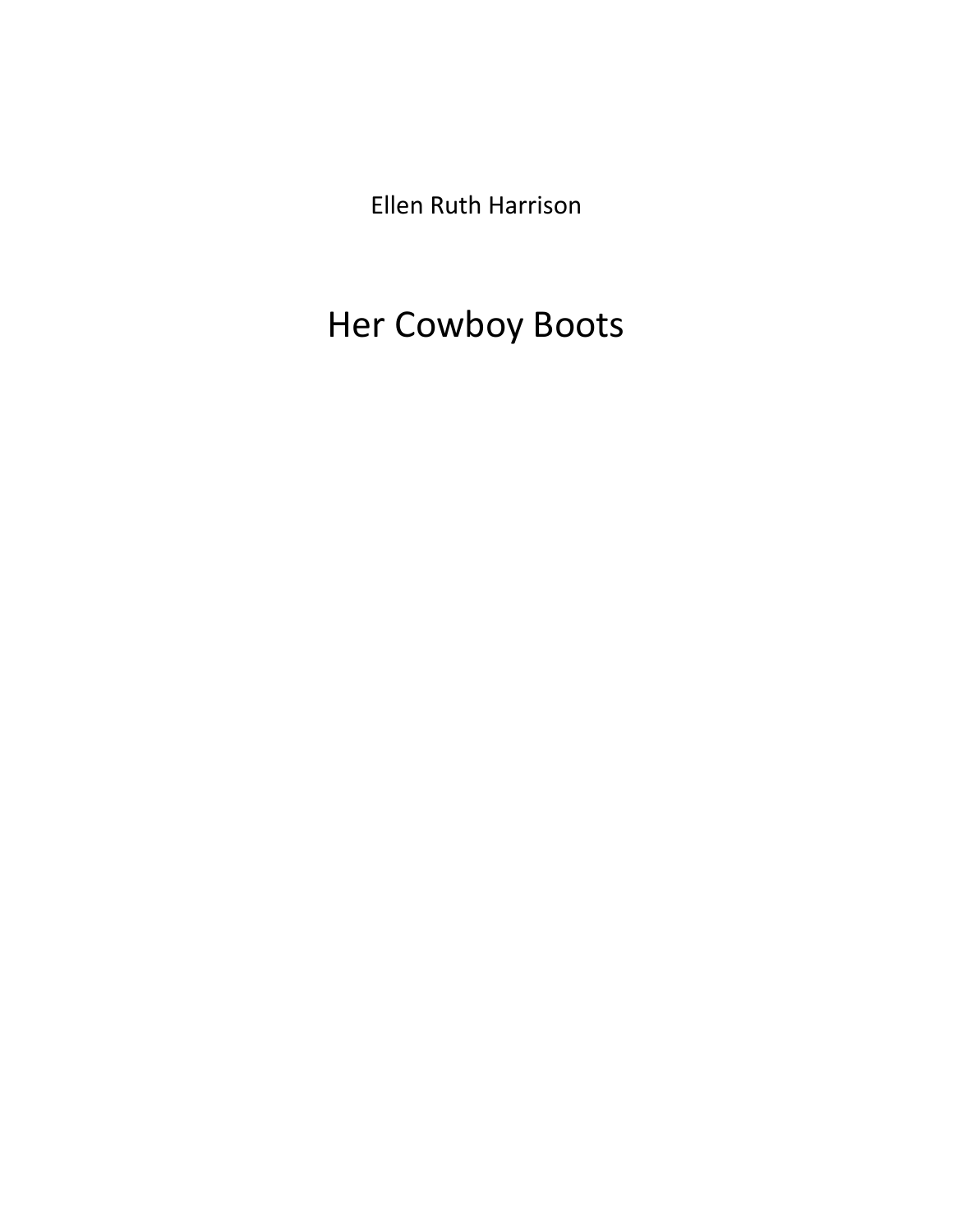Ellen Ruth Harrison

# Her Cowboy Boots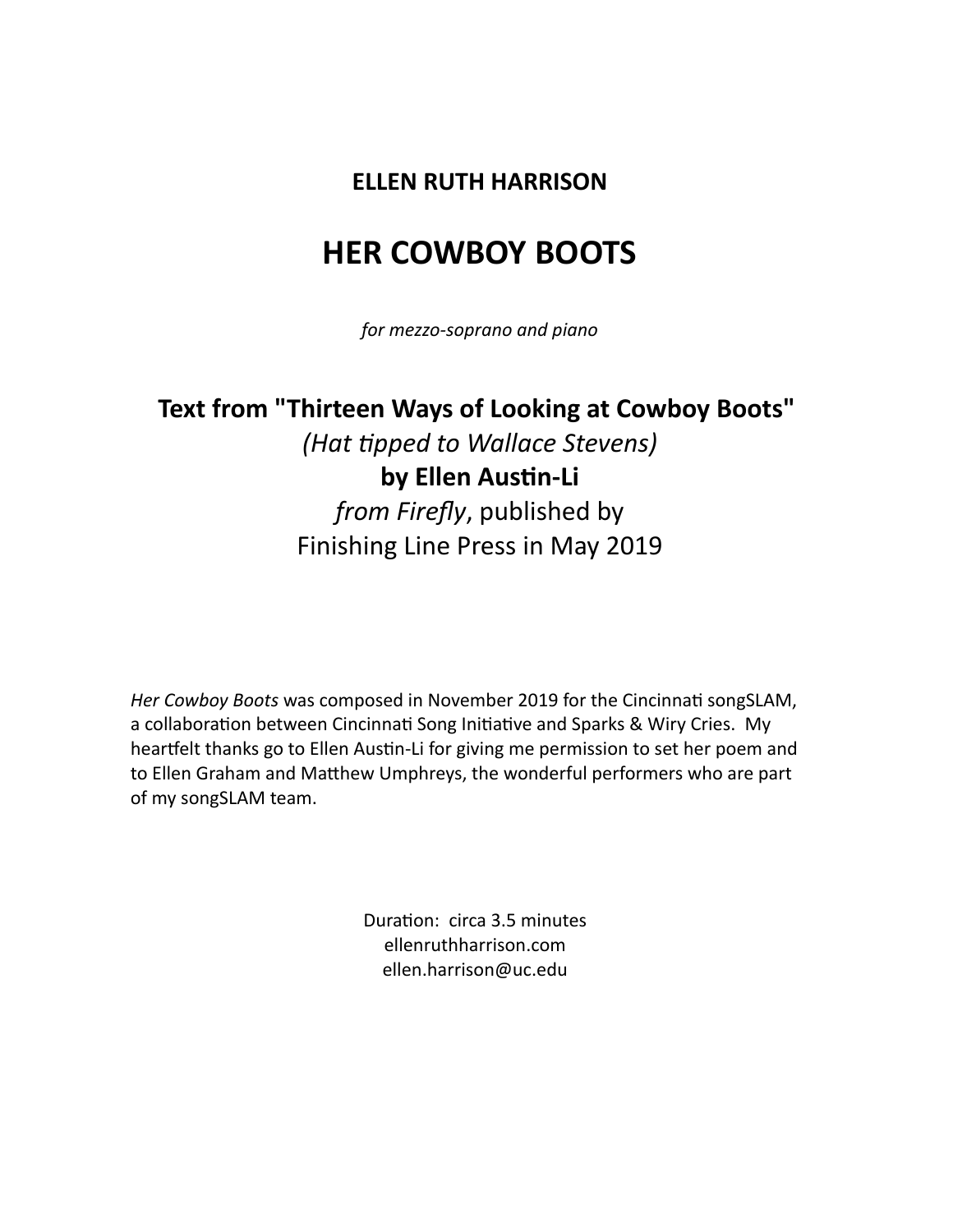### **ELLEN RUTH HARRISON**

## **HER COWBOY BOOTS**

*for mezzo-soprano and piano*

### **Text from "Thirteen Ways of Looking at Cowboy Boots"** *(Hat tipped to Wallace Stevens)*

### **by Ellen Austin-Li** *from Firefly*, published by Finishing Line Press in May 2019

*Her Cowboy Boots* was composed in November 2019 for the Cincinnati songSLAM, a collaboration between Cincinnati Song Initiative and Sparks & Wiry Cries. My heartfelt thanks go to Ellen Austin-Li for giving me permission to set her poem and to Ellen Graham and Matthew Umphreys, the wonderful performers who are part of my songSLAM team.

> Duration: circa 3.5 minutes ellenruthharrison.com ellen.harrison@uc.edu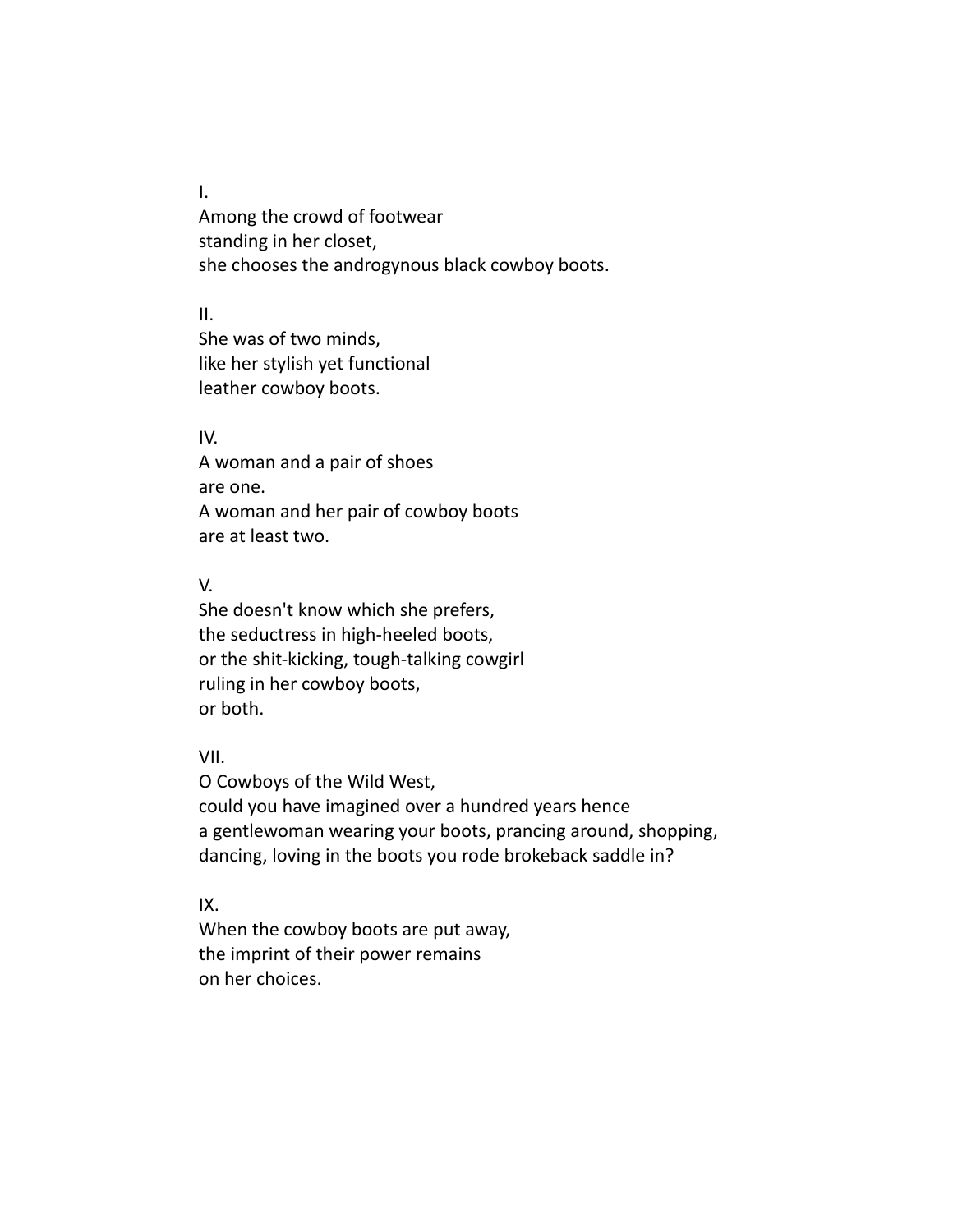I.

Among the crowd of footwear standing in her closet, she chooses the androgynous black cowboy boots.

II.

She was of two minds, like her stylish yet functional leather cowboy boots.

#### IV.

A woman and a pair of shoes are one. A woman and her pair of cowboy boots are at least two.

#### V.

She doesn't know which she prefers, the seductress in high-heeled boots, or the shit-kicking, tough-talking cowgirl ruling in her cowboy boots, or both.

#### VII.

O Cowboys of the Wild West, could you have imagined over a hundred years hence a gentlewoman wearing your boots, prancing around, shopping, dancing, loving in the boots you rode brokeback saddle in?

#### IX.

When the cowboy boots are put away, the imprint of their power remains on her choices.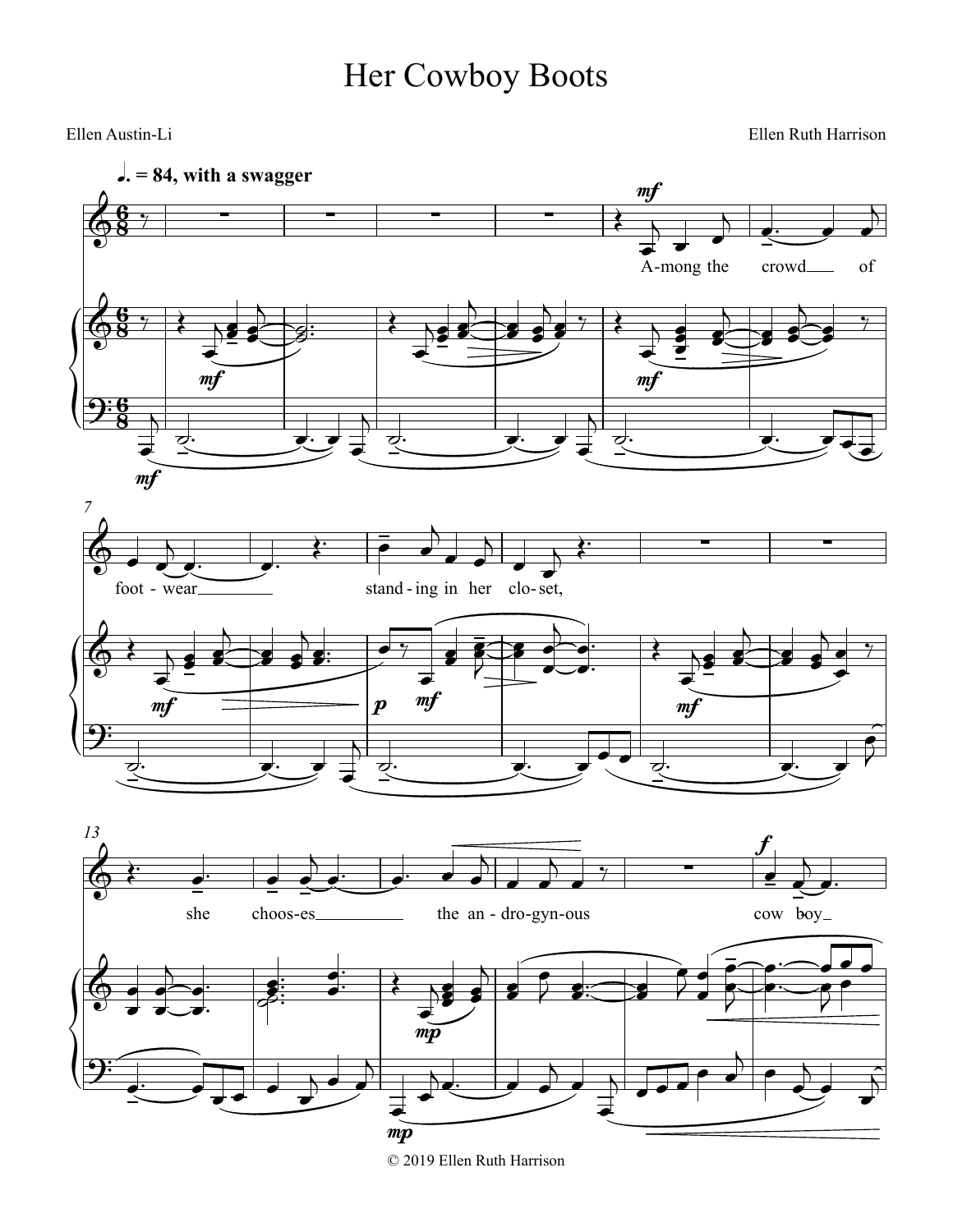# Her Cowboy Boots

Ellen Austin-Li Ellen Ruth Harrison



© 2019 Ellen Ruth Harrison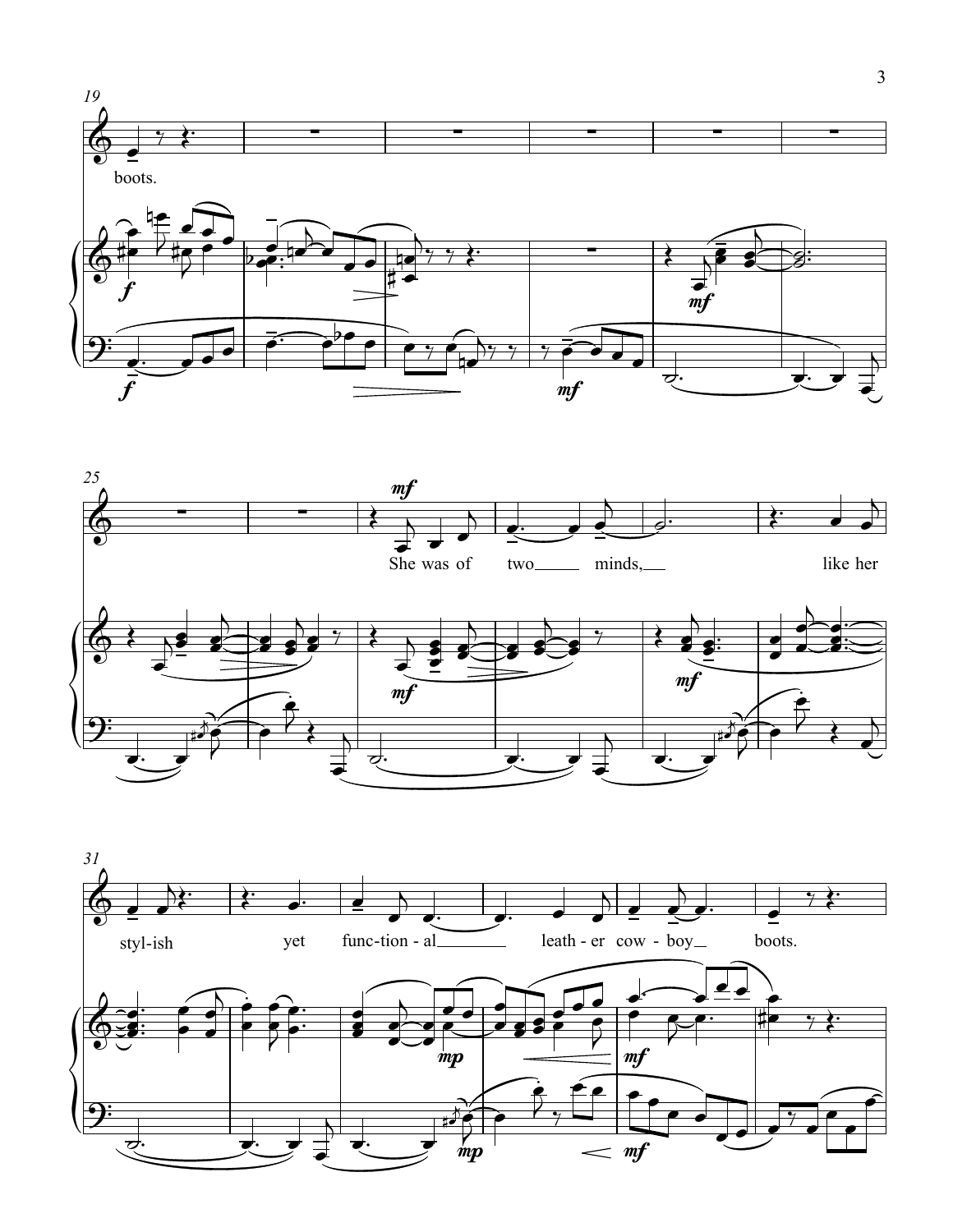



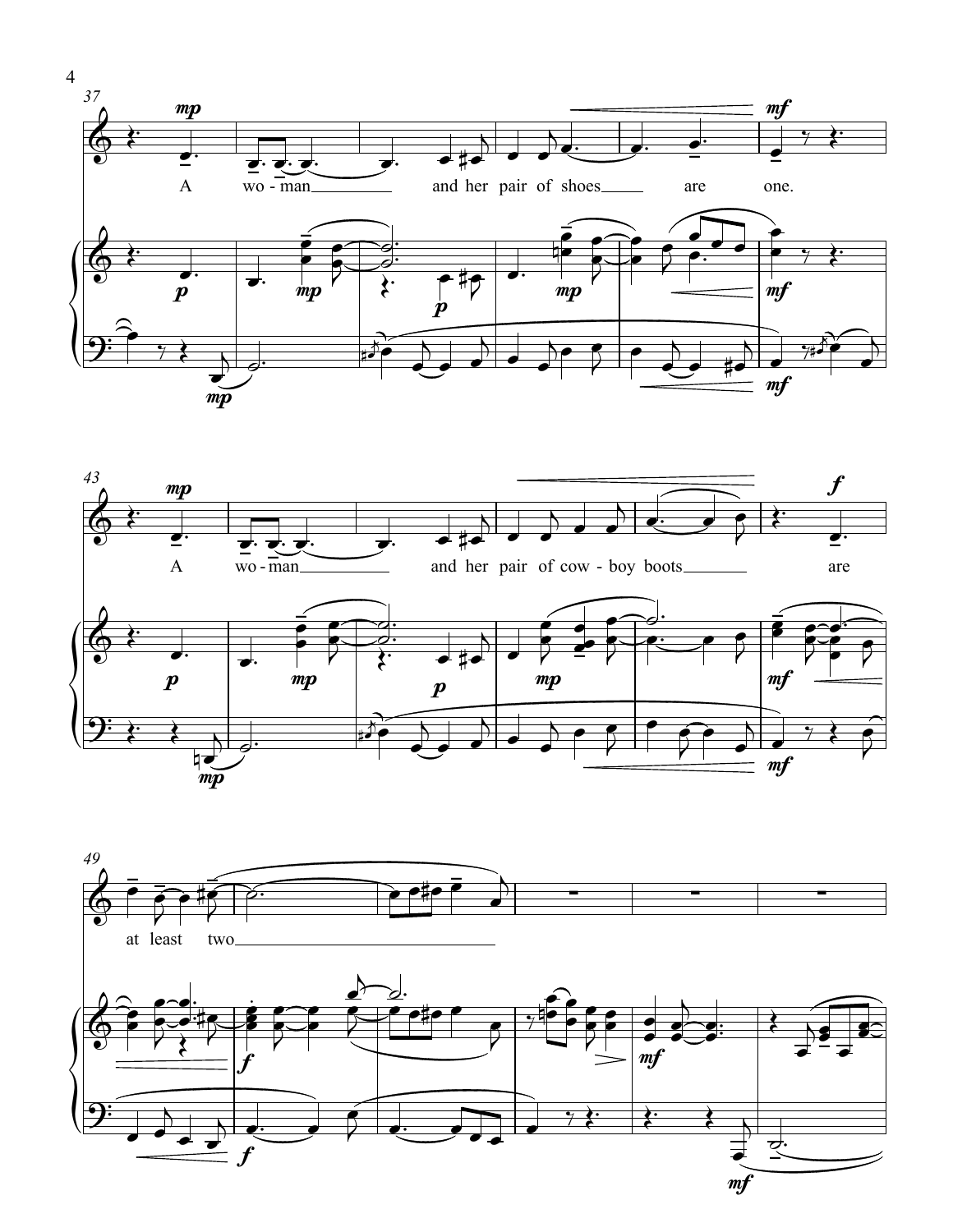



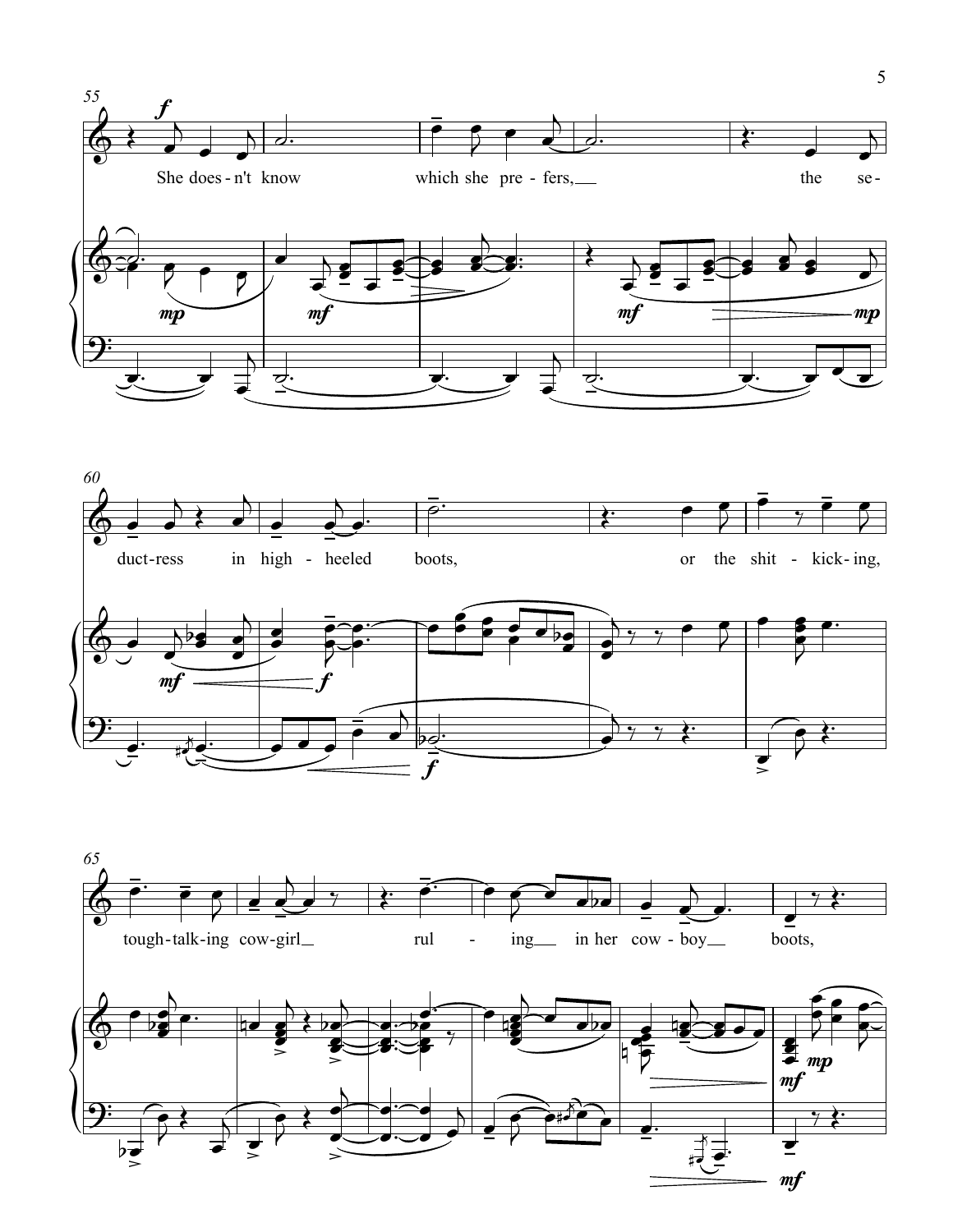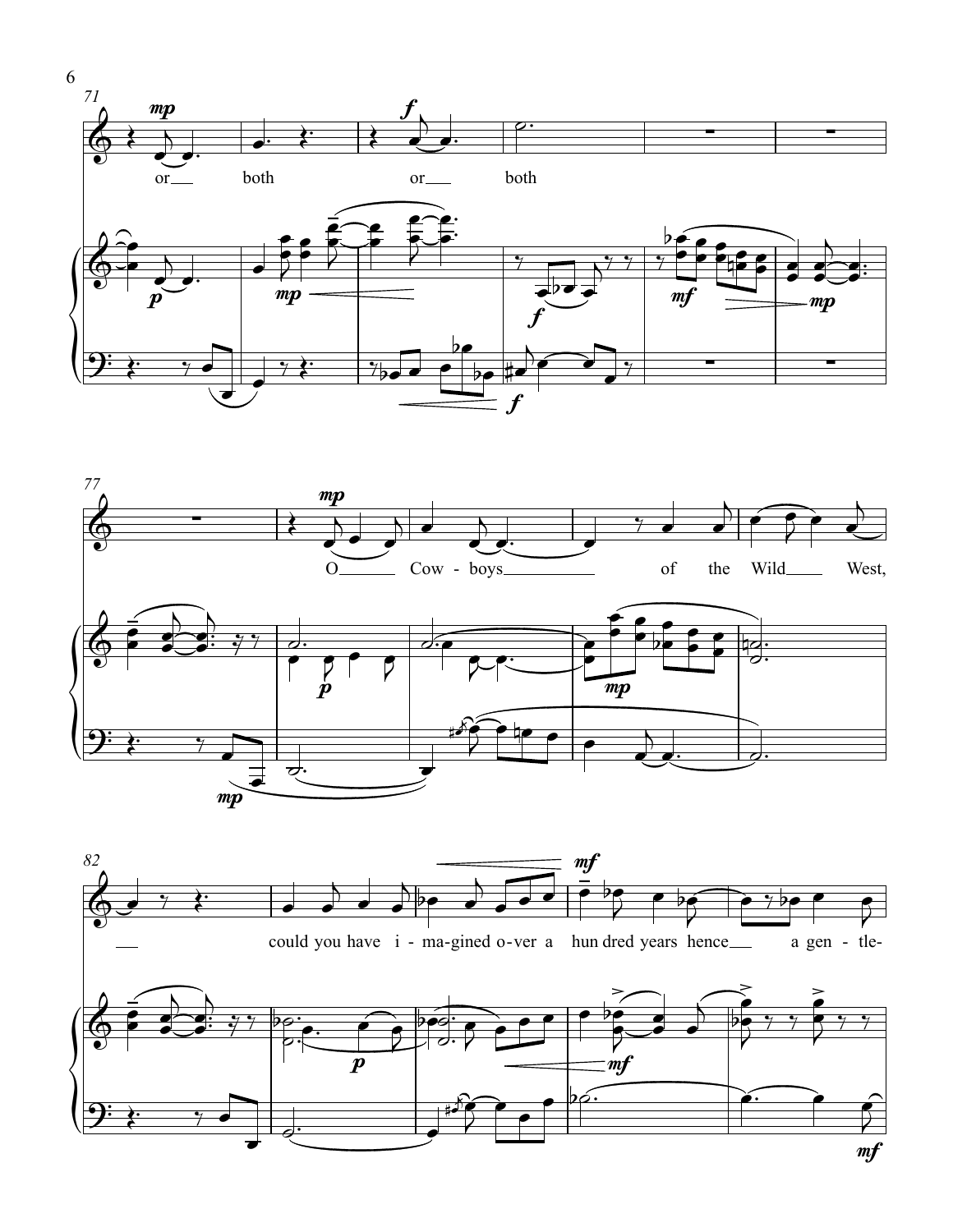



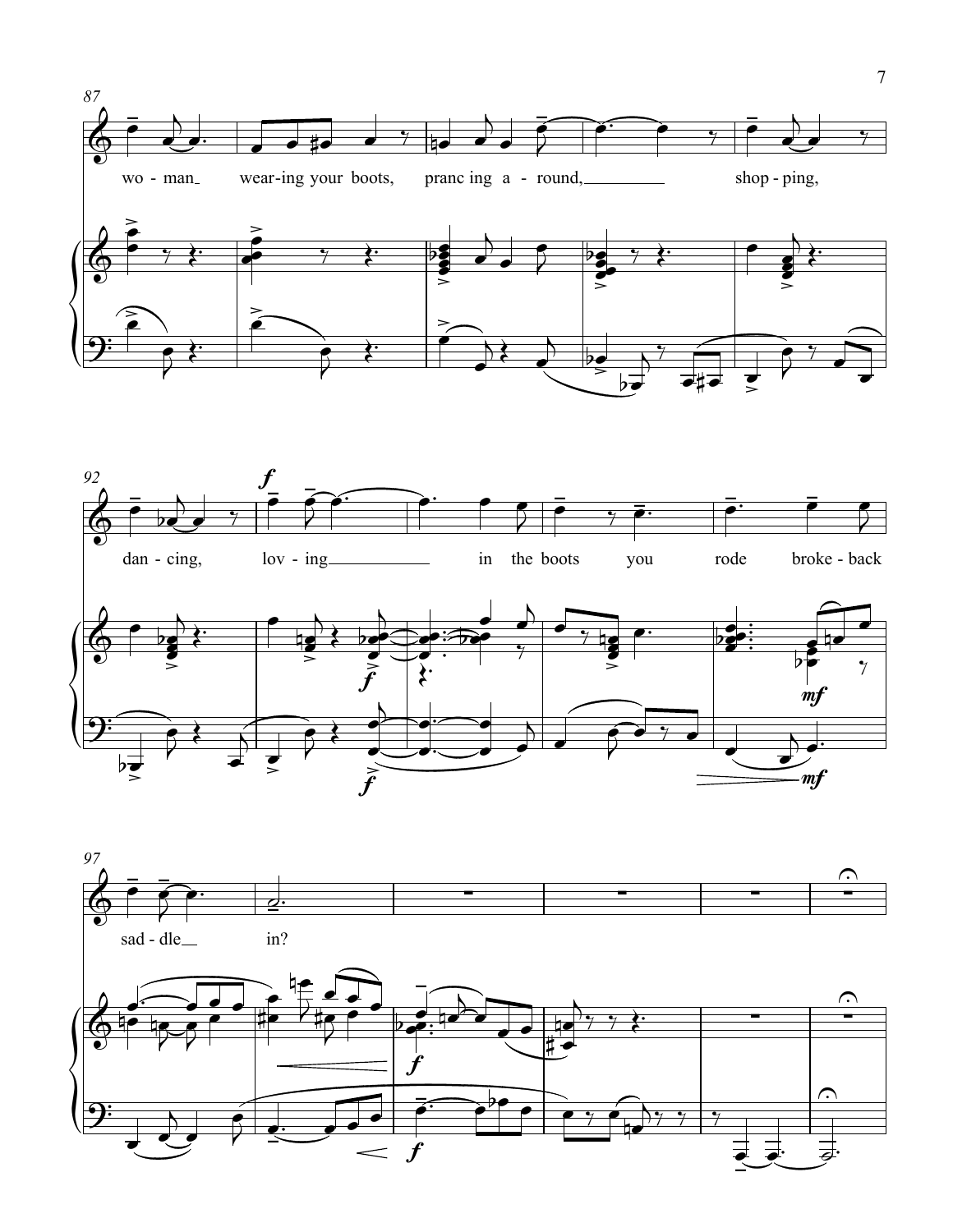